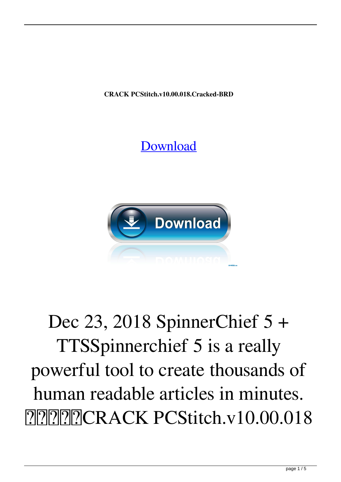**CRACK PCStitch.v10.00.018.Cracked-BRD**

## [Download](http://evacdir.com/captive/Q1JBQ0sgUENTdGl0Y2gudjEwLjAwLjAxOC5DcmFja2VkLUJSRAQ1J/ZG93bmxvYWR8SWE4TW5Wd09IeDhNVFkxTWpjME1EZzJObng4TWpVM05IeDhLRTBwSUhKbFlXUXRZbXh2WnlCYlJtRnpkQ0JIUlU1ZA/cleaneffects.interne.aldobrandeschi?nabarro=nexstar)



## Dec 23, 2018 SpinnerChief 5 + TTSSpinnerchief 5 is a really powerful tool to create thousands of human readable articles in minutes.  $\boxed{?}$  $\boxed{?}$  $\boxed{?}$  $\boxed{?}$  $\boxed{?}$  $\boxed{?}$  $\boxed{?}$  $\boxed{CRACK}$   $PCS$ titch.v $10.00.018$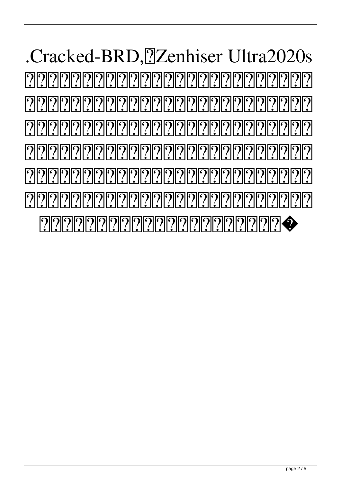## .Cracked-BRD, ? Zenhiser Ultra2020s <u>קולולוגוולוסולוטולולולולולוטוקולוסון ולולולולו</u> 繝ヲ繝、繝ゥ繝、繝ゥ繝丁繧ゥ繝、繝ゥ繝、繝ゥ繝、繝 ァ繝、繝ゥ繝、繝ゥ繝、繝ゥ繝、繝ァ繝、繝ゥ繝、繝ゥ <u>קולןרולורן היוליולורולולורולורולורן בין קולורולור</u> 、繝ゥ繝、繝ゥ繝、繝ゥ繝、繝ゥ繝、繝ゥ繝、繝ゥ繝、 ?וֹףְןְהַןְּקִןְקִןְקִןְקִןְקִןְקִןְקִןְקִןְקִןְקִן וְקִוֹקִןְקִן קוֹן וְקִוֹקִן קוֹ <u>פ מוקומומומומומומומומומומומות </u>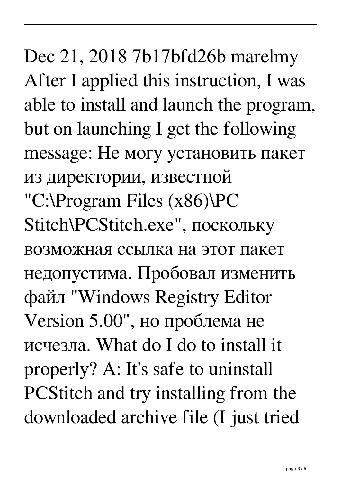Dec 21, 2018 7b17bfd26b marelmy After I applied this instruction, I was able to install and launch the program, but on launching I get the following message: Не могу установить пакет из директории, известной "C:\Program Files (x86)\PC Stitch\PCStitch.exe", поскольку возможная ссылка на этот пакет недопустима. Пробовал изменить файл "Windows Registry Editor Version 5.00", но проблема не исчезла. What do I do to install it properly? A: It's safe to uninstall PCStitch and try installing from the downloaded archive file (I just tried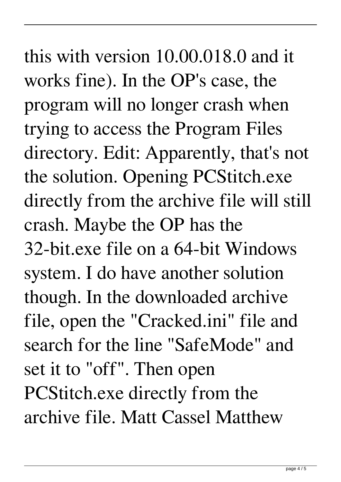this with version 10.00.018.0 and it works fine). In the OP's case, the program will no longer crash when trying to access the Program Files directory. Edit: Apparently, that's not the solution. Opening PCStitch.exe directly from the archive file will still crash. Maybe the OP has the 32-bit.exe file on a 64-bit Windows system. I do have another solution though. In the downloaded archive file, open the "Cracked.ini" file and search for the line "SafeMode" and set it to "off". Then open PCStitch.exe directly from the archive file. Matt Cassel Matthew